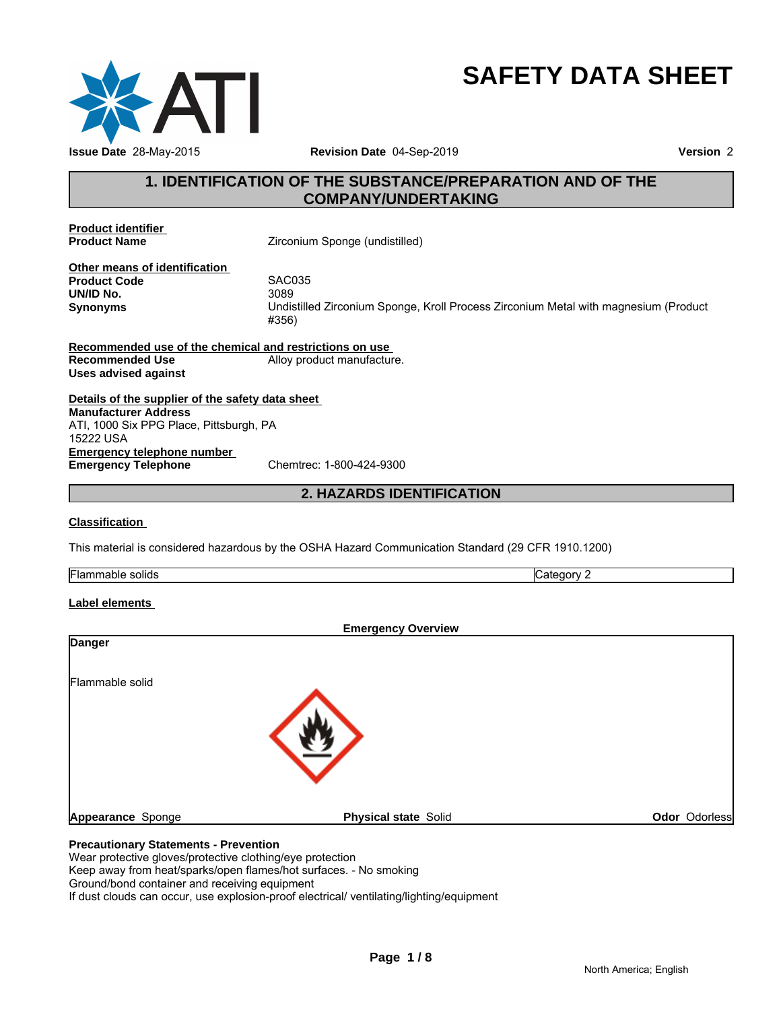

# **SAFETY DATA SHEET**

# **1. IDENTIFICATION OF THE SUBSTANCE/PREPARATION AND OF THE<br>
THE SUBSTANCE/PREPARATION AND OF THE<br>
The COMPANY/UNDERTAKING<br>
The COMPANY/UNDERTAKING COMPANY/UNDERTAKING**

**Product identifier** 

**Zirconium Sponge (undistilled)** 

**Other means of identification**<br>**Product Code** SAC035 **Product Code** SACOS<br>**UN/ID No.** 3089 **UN/ID No.**<br>Synonyms

**Synonyms** Undistilled Zirconium Sponge, Kroll Process Zirconium Metal with magnesium (Product #356) <sup>35</sup><br>illed Zirconium Sponge, Kroll Process Zirconium Metal with magnesium (Prod<br>stri**ctions on use\_**<br>roduct manufacture.<br>**2. HAZARDS IDENTIFICATION**<br>2. **HAZARDS IDENTIFICATION** 

**Recommended use of the chemical and restrictions on use Recommended Use** Alloy product manufacture. **Uses advised against**

**Details of the supplier of the safety data sheet Emergency telephone number<br>
Emergency Telephone**<br>
Chemtrec: 1-800-424-9300 **Emergency Telephone Manufacturer Address** ATI, 1000 Six PPG Place, Pittsburgh, PA 15222 USA

### **Classification**

This material is considered hazardous by the OSHA Hazard Communication Standard (29 CFR 1910.1200)

| Flammable | $\sim$     |
|-----------|------------|
| solids    | …ategory ∵ |
|           |            |

### **Label elements**

|                   | <b>Emergency Overview</b>   |               |
|-------------------|-----------------------------|---------------|
| <b>Danger</b>     |                             |               |
|                   |                             |               |
| Flammable solid   |                             |               |
|                   |                             |               |
|                   |                             |               |
|                   |                             |               |
|                   |                             |               |
|                   |                             |               |
| Appearance Sponge | <b>Physical state Solid</b> | Odor Odorless |

Wear protective gloves/protective clothing/eye protection Keep away from heat/sparks/open flames/hot surfaces. - No smoking Ground/bond container and receiving equipment If dust clouds can occur, use explosion-proof electrical/ ventilating/lighting/equipment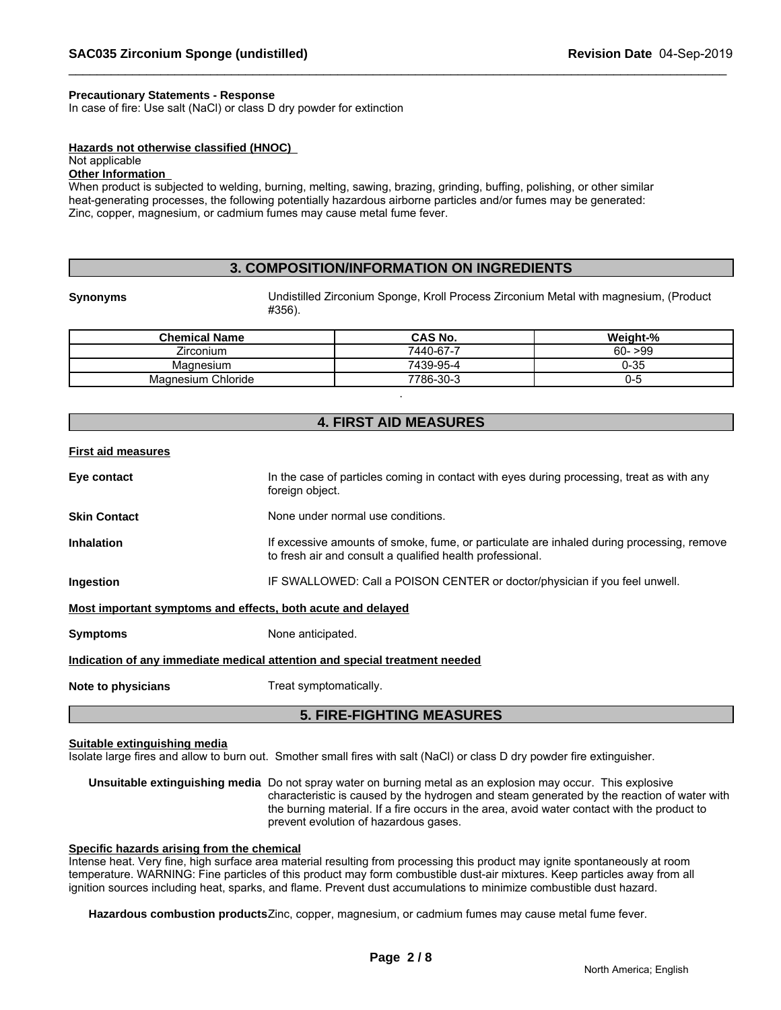### **Precautionary Statements - Response**

In case of fire: Use salt (NaCl) or class D dry powder for extinction

### **Hazards not otherwise classified (HNOC)**

### Not applicable

### **Other Information**

When product is subjected to welding, burning, melting, sawing, brazing, grinding, buffing, polishing, or other similar heat-generating processes, the following potentially hazardous airborne particles and/or fumes may be generated: Zinc, copper, magnesium, or cadmium fumes may cause metal fume fever.

### **3. COMPOSITION/INFORMATION ON INGREDIENTS**

**Synonyms** Undistilled Zirconium Sponge, Kroll Process Zirconium Metal with magnesium, (Product #356).

| <b>Chemical Name</b> | CAS No.   | Weight-%  |
|----------------------|-----------|-----------|
| Zirconium            | 7440-67-7 | $60 - 99$ |
| Magnesium            | 7439-95-4 | 0-35      |
| Magnesium Chloride   | 7786-30-3 | $-1$      |

.

### **4. FIRST AID MEASURES**

### **First aid measures**

|                                                             | <b>5. FIRE-FIGHTING MEASURES</b>                                                                                                                       |
|-------------------------------------------------------------|--------------------------------------------------------------------------------------------------------------------------------------------------------|
| Note to physicians                                          | Treat symptomatically.                                                                                                                                 |
|                                                             | Indication of any immediate medical attention and special treatment needed                                                                             |
| <b>Symptoms</b>                                             | None anticipated.                                                                                                                                      |
| Most important symptoms and effects, both acute and delayed |                                                                                                                                                        |
| Ingestion                                                   | IF SWALLOWED: Call a POISON CENTER or doctor/physician if you feel unwell.                                                                             |
| <b>Inhalation</b>                                           | If excessive amounts of smoke, fume, or particulate are inhaled during processing, remove<br>to fresh air and consult a qualified health professional. |
| <b>Skin Contact</b>                                         | None under normal use conditions.                                                                                                                      |
| Eye contact                                                 | In the case of particles coming in contact with eyes during processing, treat as with any<br>foreign object.                                           |
|                                                             |                                                                                                                                                        |

### **Suitable extinguishing media**

Isolate large fires and allow to burn out. Smother small fires with salt (NaCl) or class D dry powder fire extinguisher.

**Unsuitable extinguishing media** Do not spray water on burning metal as an explosion may occur. This explosive characteristic is caused by the hydrogen and steam generated by the reaction of water with the burning material. If a fire occurs in the area, avoid water contact with the product to prevent evolution of hazardous gases.

### **Specific hazards arising from the chemical**

Intense heat. Very fine, high surface area material resulting from processing this product may ignite spontaneously at room temperature. WARNING: Fine particles of this product may form combustible dust-air mixtures. Keep particles away from all ignition sources including heat, sparks, and flame. Prevent dust accumulations to minimize combustible dust hazard.

**Hazardous combustion products**Zinc, copper, magnesium, or cadmium fumes may cause metal fume fever.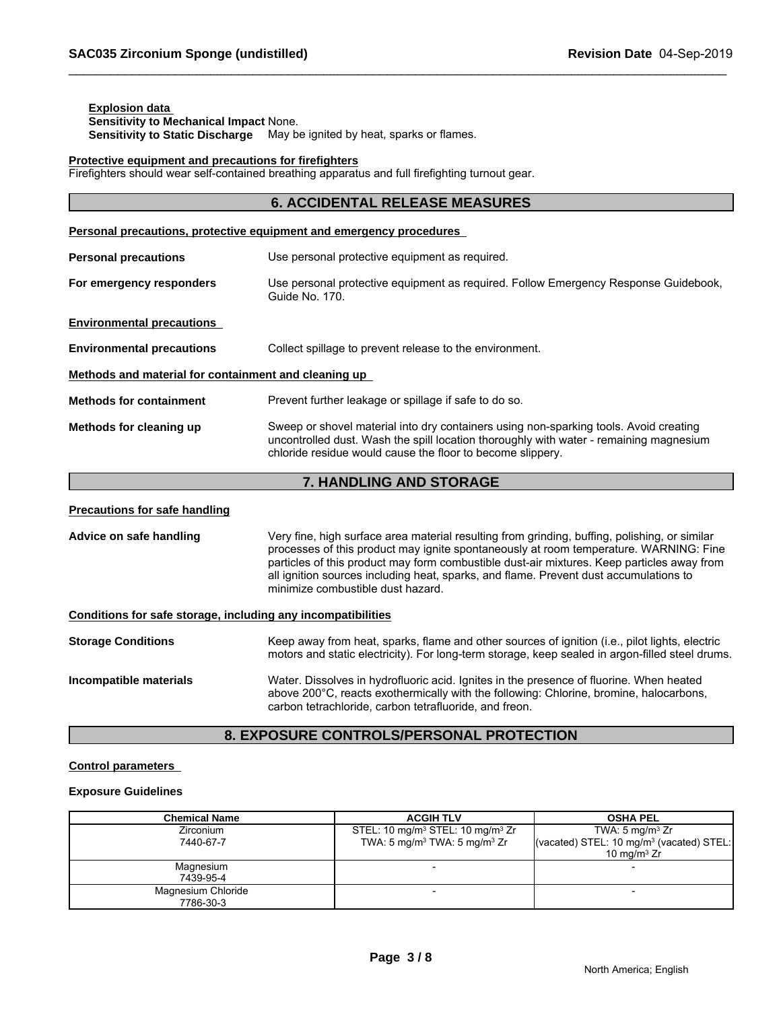### **Explosion data Sensitivity to Mechanical Impact** None. **Sensitivity to Static Discharge** May be ignited by heat, sparks or flames.

### **Protective equipment and precautions for firefighters**

Firefighters should wear self-contained breathing apparatus and full firefighting turnout gear.

|                                                              | <b>6. ACCIDENTAL RELEASE MEASURES</b>                                                                                                                                                                                                                                                                                                                                                                              |  |  |
|--------------------------------------------------------------|--------------------------------------------------------------------------------------------------------------------------------------------------------------------------------------------------------------------------------------------------------------------------------------------------------------------------------------------------------------------------------------------------------------------|--|--|
|                                                              | Personal precautions, protective equipment and emergency procedures                                                                                                                                                                                                                                                                                                                                                |  |  |
| <b>Personal precautions</b>                                  | Use personal protective equipment as required.                                                                                                                                                                                                                                                                                                                                                                     |  |  |
| For emergency responders                                     | Use personal protective equipment as required. Follow Emergency Response Guidebook,<br>Guide No. 170.                                                                                                                                                                                                                                                                                                              |  |  |
| <b>Environmental precautions</b>                             |                                                                                                                                                                                                                                                                                                                                                                                                                    |  |  |
| <b>Environmental precautions</b>                             | Collect spillage to prevent release to the environment.                                                                                                                                                                                                                                                                                                                                                            |  |  |
| Methods and material for containment and cleaning up         |                                                                                                                                                                                                                                                                                                                                                                                                                    |  |  |
| <b>Methods for containment</b>                               | Prevent further leakage or spillage if safe to do so.                                                                                                                                                                                                                                                                                                                                                              |  |  |
| Methods for cleaning up                                      | Sweep or shovel material into dry containers using non-sparking tools. Avoid creating<br>uncontrolled dust. Wash the spill location thoroughly with water - remaining magnesium<br>chloride residue would cause the floor to become slippery.                                                                                                                                                                      |  |  |
|                                                              | 7. HANDLING AND STORAGE                                                                                                                                                                                                                                                                                                                                                                                            |  |  |
| <b>Precautions for safe handling</b>                         |                                                                                                                                                                                                                                                                                                                                                                                                                    |  |  |
| Advice on safe handling                                      | Very fine, high surface area material resulting from grinding, buffing, polishing, or similar<br>processes of this product may ignite spontaneously at room temperature. WARNING: Fine<br>particles of this product may form combustible dust-air mixtures. Keep particles away from<br>all ignition sources including heat, sparks, and flame. Prevent dust accumulations to<br>minimize combustible dust hazard. |  |  |
| Conditions for safe storage, including any incompatibilities |                                                                                                                                                                                                                                                                                                                                                                                                                    |  |  |
| <b>Storage Conditions</b>                                    | Keep away from heat, sparks, flame and other sources of ignition (i.e., pilot lights, electric<br>motors and static electricity). For long-term storage, keep sealed in argon-filled steel drums.                                                                                                                                                                                                                  |  |  |
| Incompatible materials                                       | Water. Dissolves in hydrofluoric acid. Ignites in the presence of fluorine. When heated<br>above 200°C, reacts exothermically with the following: Chlorine, bromine, halocarbons,<br>carbon tetrachloride, carbon tetrafluoride, and freon.                                                                                                                                                                        |  |  |

## **8. EXPOSURE CONTROLS/PERSONAL PROTECTION**

### **Control parameters**

### **Exposure Guidelines**

| <b>Chemical Name</b> | <b>ACGIH TLV</b>                                         | <b>OSHA PEL</b>                                      |
|----------------------|----------------------------------------------------------|------------------------------------------------------|
| Zirconium            | STEL: 10 mg/m <sup>3</sup> STEL: 10 mg/m <sup>3</sup> Zr | TWA: 5 mg/m <sup>3</sup> $Zr$                        |
| 7440-67-7            | TWA: 5 mg/m <sup>3</sup> TWA: 5 mg/m <sup>3</sup> Zr     | (vacated) STEL: 10 mg/m <sup>3</sup> (vacated) STEL: |
|                      |                                                          | 10 mg/m $3 Zr$                                       |
| Magnesium            |                                                          |                                                      |
| 7439-95-4            |                                                          |                                                      |
| Magnesium Chloride   |                                                          |                                                      |
| 7786-30-3            |                                                          |                                                      |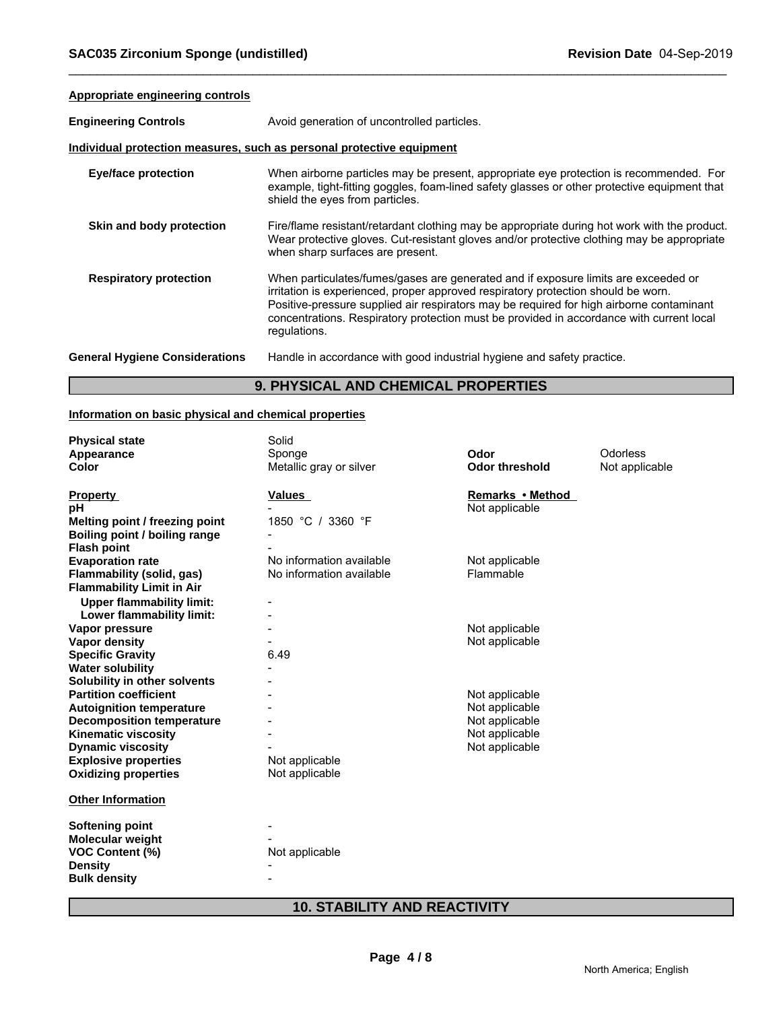### **Appropriate engineering controls**

| <b>Engineering Controls</b>                                           | Avoid generation of uncontrolled particles.                                                                                                                                                                                                                                                                                                                                     |  |  |  |  |
|-----------------------------------------------------------------------|---------------------------------------------------------------------------------------------------------------------------------------------------------------------------------------------------------------------------------------------------------------------------------------------------------------------------------------------------------------------------------|--|--|--|--|
| Individual protection measures, such as personal protective equipment |                                                                                                                                                                                                                                                                                                                                                                                 |  |  |  |  |
| <b>Eye/face protection</b>                                            | When airborne particles may be present, appropriate eye protection is recommended. For<br>example, tight-fitting goggles, foam-lined safety glasses or other protective equipment that<br>shield the eyes from particles.                                                                                                                                                       |  |  |  |  |
| Skin and body protection                                              | Fire/flame resistant/retardant clothing may be appropriate during hot work with the product.<br>Wear protective gloves. Cut-resistant gloves and/or protective clothing may be appropriate<br>when sharp surfaces are present.                                                                                                                                                  |  |  |  |  |
| <b>Respiratory protection</b>                                         | When particulates/fumes/gases are generated and if exposure limits are exceeded or<br>irritation is experienced, proper approved respiratory protection should be worn.<br>Positive-pressure supplied air respirators may be required for high airborne contaminant<br>concentrations. Respiratory protection must be provided in accordance with current local<br>regulations. |  |  |  |  |
| <b>General Hygiene Considerations</b>                                 | Handle in accordance with good industrial hygiene and safety practice.                                                                                                                                                                                                                                                                                                          |  |  |  |  |

### **9. PHYSICAL AND CHEMICAL PROPERTIES**

### **Information on basic physical and chemical properties**

| <b>Physical state</b>            | Solid                    |                       |                |
|----------------------------------|--------------------------|-----------------------|----------------|
| Appearance                       | Sponge                   | Odor                  | Odorless       |
| <b>Color</b>                     | Metallic gray or silver  | <b>Odor threshold</b> | Not applicable |
|                                  |                          |                       |                |
| <b>Property</b>                  | <b>Values</b>            | Remarks • Method      |                |
| рH                               |                          | Not applicable        |                |
| Melting point / freezing point   | 1850 °C / 3360 °F        |                       |                |
| Boiling point / boiling range    |                          |                       |                |
| <b>Flash point</b>               |                          |                       |                |
| <b>Evaporation rate</b>          | No information available | Not applicable        |                |
| Flammability (solid, gas)        | No information available | Flammable             |                |
| <b>Flammability Limit in Air</b> |                          |                       |                |
| <b>Upper flammability limit:</b> |                          |                       |                |
| Lower flammability limit:        |                          |                       |                |
| Vapor pressure                   |                          | Not applicable        |                |
| Vapor density                    |                          | Not applicable        |                |
| <b>Specific Gravity</b>          | 6.49                     |                       |                |
| <b>Water solubility</b>          |                          |                       |                |
| Solubility in other solvents     |                          |                       |                |
| <b>Partition coefficient</b>     |                          | Not applicable        |                |
| <b>Autoignition temperature</b>  |                          | Not applicable        |                |
| <b>Decomposition temperature</b> |                          | Not applicable        |                |
| <b>Kinematic viscosity</b>       |                          | Not applicable        |                |
| <b>Dynamic viscosity</b>         |                          | Not applicable        |                |
| <b>Explosive properties</b>      | Not applicable           |                       |                |
| <b>Oxidizing properties</b>      | Not applicable           |                       |                |
| <b>Other Information</b>         |                          |                       |                |
|                                  |                          |                       |                |
| Softening point                  |                          |                       |                |
| <b>Molecular weight</b>          |                          |                       |                |
| <b>VOC Content (%)</b>           | Not applicable           |                       |                |
| <b>Density</b>                   |                          |                       |                |
| <b>Bulk density</b>              |                          |                       |                |
|                                  |                          |                       |                |

# **10. STABILITY AND REACTIVITY**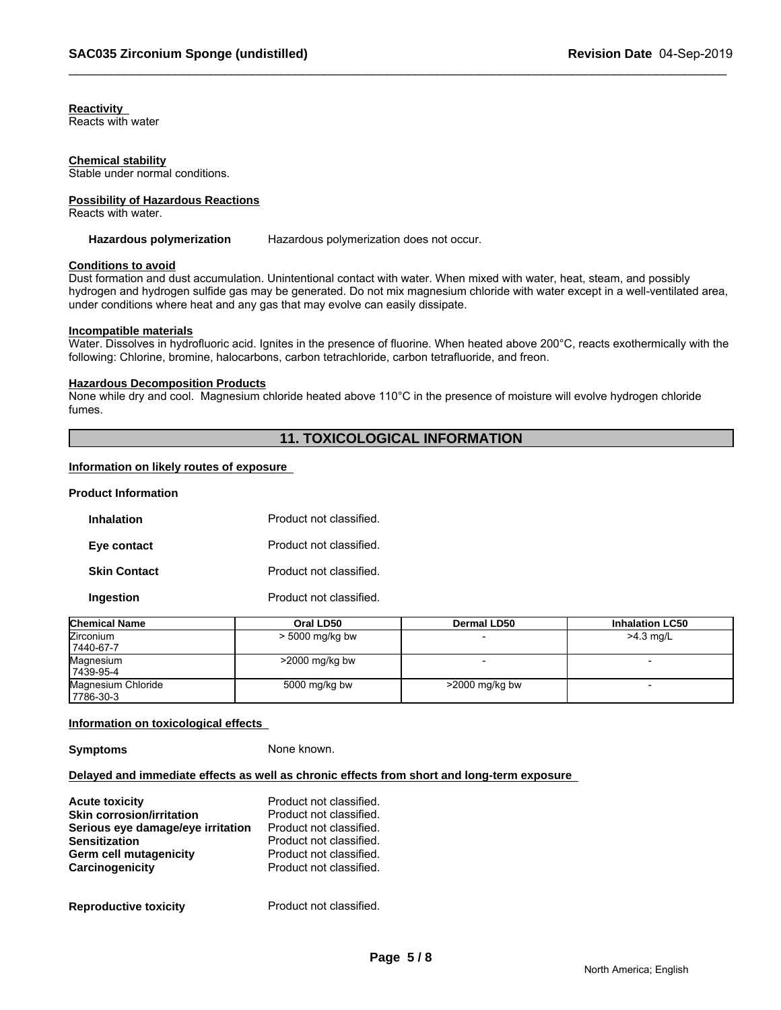### **Reactivity**

Reacts with water

### **Chemical stability**

Stable under normal conditions.

### **Possibility of Hazardous Reactions**

Reacts with water.

### Hazardous polymerization Hazardous polymerization does not occur.

### **Conditions to avoid**

Dust formation and dust accumulation. Unintentional contact with water. When mixed with water, heat, steam, and possibly hydrogen and hydrogen sulfide gas may be generated. Do not mix magnesium chloride with water except in a well-ventilated area, under conditions where heat and any gas that may evolve can easily dissipate.

### **Incompatible materials**

Water. Dissolves in hydrofluoric acid. Ignites in the presence of fluorine. When heated above 200°C, reacts exothermically with the following: Chlorine, bromine, halocarbons, carbon tetrachloride, carbon tetrafluoride, and freon.

### **Hazardous Decomposition Products**

None while dry and cool. Magnesium chloride heated above 110°C in the presence of moisture will evolve hydrogen chloride fumes.

### **11. TOXICOLOGICAL INFORMATION**

### **Information on likely routes of exposure**

### **Product Information**

| <b>Inhalation</b>   | Product not classified. |
|---------------------|-------------------------|
| Eye contact         | Product not classified. |
| <b>Skin Contact</b> | Product not classified. |
| Ingestion           | Product not classified. |

| <b>Chemical Name</b> | Oral LD50         | <b>Dermal LD50</b> | <b>Inhalation LC50</b> |
|----------------------|-------------------|--------------------|------------------------|
| <b>Zirconium</b>     | $>$ 5000 mg/kg bw |                    | $>4.3$ mg/L            |
| 17440-67-7           |                   |                    |                        |
| Magnesium            | $>$ 2000 mg/kg bw |                    |                        |
| 17439-95-4           |                   |                    |                        |
| Magnesium Chloride   | 5000 mg/kg bw     | $>$ 2000 mg/kg bw  |                        |
| 17786-30-3           |                   |                    |                        |

### **Information on toxicological effects**

**Symptoms** None known.

### **Delayed and immediate effects as well as chronic effects from short and long-term exposure**

| <b>Acute toxicity</b>             | Product not classified. |
|-----------------------------------|-------------------------|
| <b>Skin corrosion/irritation</b>  | Product not classified. |
| Serious eye damage/eye irritation | Product not classified. |
| <b>Sensitization</b>              | Product not classified. |
| Germ cell mutagenicity            | Product not classified. |
| Carcinogenicity                   | Product not classified. |
| <b>Reproductive toxicity</b>      | Product not classified. |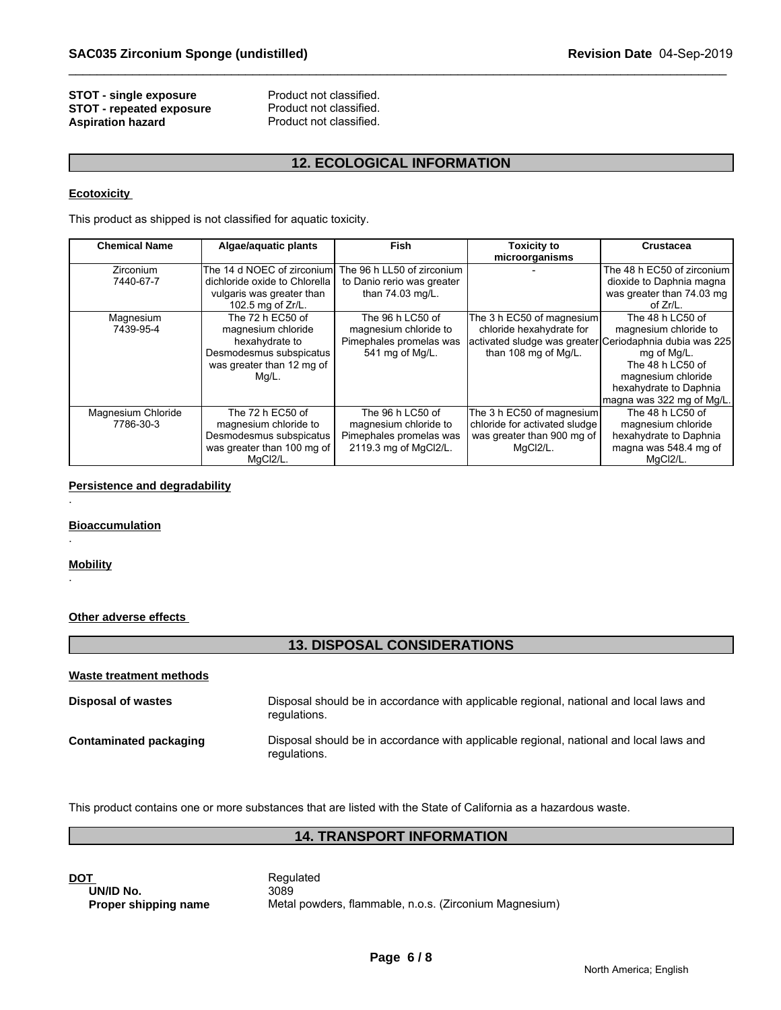### **STOT - single exposure** Product not classified.<br>**STOT - repeated exposure** Product not classified. **STOT - repeated exposure** Product not classified.<br> **Aspiration hazard** Product not classified. **Aspiration hazard**

### **12. ECOLOGICAL INFORMATION**

### **Ecotoxicity**

| <b>STOT - single exposure</b><br><b>STOT - repeated exposure</b><br><b>Aspiration hazard</b> | Product not classified.<br>Product not classified.<br>Product not classified.                                             |                                                                                               |                                                                                                                                          |                                                                                                                                                           |
|----------------------------------------------------------------------------------------------|---------------------------------------------------------------------------------------------------------------------------|-----------------------------------------------------------------------------------------------|------------------------------------------------------------------------------------------------------------------------------------------|-----------------------------------------------------------------------------------------------------------------------------------------------------------|
|                                                                                              |                                                                                                                           | <b>12. ECOLOGICAL INFORMATION</b>                                                             |                                                                                                                                          |                                                                                                                                                           |
| <b>Ecotoxicity</b>                                                                           |                                                                                                                           |                                                                                               |                                                                                                                                          |                                                                                                                                                           |
|                                                                                              | This product as shipped is not classified for aquatic toxicity.                                                           |                                                                                               |                                                                                                                                          |                                                                                                                                                           |
| <b>Chemical Name</b>                                                                         | Algae/aquatic plants                                                                                                      | Fish                                                                                          | <b>Toxicity to</b><br>microorganisms                                                                                                     | <b>Crustacea</b>                                                                                                                                          |
| Zirconium<br>7440-67-7                                                                       | The 14 d NOEC of zirconium<br>dichloride oxide to Chlorella<br>vulgaris was greater than<br>102.5 mg of Zr/L.             | The 96 h LL50 of zirconium<br>to Danio rerio was greater<br>than 74.03 mg/L.                  |                                                                                                                                          | The 48 h EC50 of zirconium<br>dioxide to Daphnia magna<br>was greater than 74.03 mg<br>of $Zr/L$ .                                                        |
| Magnesium<br>7439-95-4                                                                       | The 72 h EC50 of<br>magnesium chloride<br>hexahydrate to<br>Desmodesmus subspicatus<br>was greater than 12 mg of<br>Mg/L. | The 96 h LC50 of<br>magnesium chloride to<br>Pimephales promelas was<br>541 mg of Mg/L.       | The 3 h EC50 of magnesium<br>chloride hexahydrate for<br>activated sludge was greater Ceriodaphnia dubia was 225<br>than 108 mg of Mg/L. | The 48 h LC50 of<br>magnesium chloride to<br>mg of Mg/L.<br>The 48 h LC50 of<br>magnesium chloride<br>hexahydrate to Daphnia<br>magna was 322 mg of Mg/L. |
| Magnesium Chloride<br>7786-30-3                                                              | The 72 h EC50 of<br>magnesium chloride to<br>Desmodesmus subspicatus<br>was greater than 100 mg of<br>MgCl2/L.            | The 96 h LC50 of<br>magnesium chloride to<br>Pimephales promelas was<br>2119.3 mg of MgCl2/L. | The 3 h EC50 of magnesium<br>chloride for activated sludge<br>was greater than 900 mg of<br>MgCl2/L.                                     | The 48 h LC50 of<br>magnesium chloride<br>hexahydrate to Daphnia<br>magna was 548.4 mg of<br>MgCl2/L.                                                     |

### **Persistence and degradability**

### **Bioaccumulation**

### **Mobility**

.

.

.

### **Other adverse effects**

### **13. DISPOSAL CONSIDERATIONS**

| Waste treatment methods       |                                                                                                        |
|-------------------------------|--------------------------------------------------------------------------------------------------------|
| <b>Disposal of wastes</b>     | Disposal should be in accordance with applicable regional, national and local laws and<br>regulations. |
| <b>Contaminated packaging</b> | Disposal should be in accordance with applicable regional, national and local laws and<br>regulations. |

This product contains one or more substances that are listed with the State of California as a hazardous waste.

### **14. TRANSPORT INFORMATION**

| <b>DOT</b>           | Regulated |
|----------------------|-----------|
| UN/ID No.            | 3089      |
| Proper shipping name | Metal pow |

**UN/ID No.** 3089 **Proper shipping name** Metal powders, flammable, n.o.s. (Zirconium Magnesium)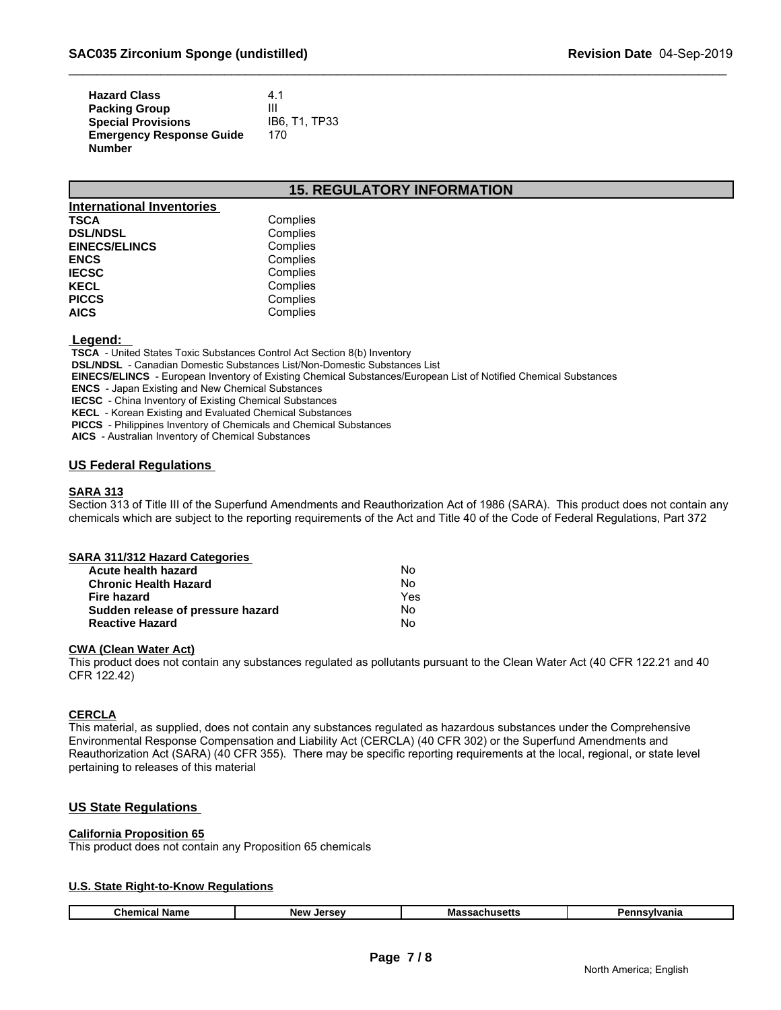| <b>Hazard Class</b>             | 4.1           |
|---------------------------------|---------------|
| <b>Packing Group</b>            | Ш             |
| <b>Special Provisions</b>       | IB6. T1. TP33 |
| <b>Emergency Response Guide</b> | 170           |
| <b>Number</b>                   |               |

### **15. REGULATORY INFORMATION**

| <b>International Inventories</b> |          |  |
|----------------------------------|----------|--|
| TSCA                             | Complies |  |
| <b>DSL/NDSL</b>                  | Complies |  |
| <b>EINECS/ELINCS</b>             | Complies |  |
| <b>ENCS</b>                      | Complies |  |
| <b>IECSC</b>                     | Complies |  |
| KECL                             | Complies |  |
| <b>PICCS</b>                     | Complies |  |
| <b>AICS</b>                      | Complies |  |

### **Legend:**

 **TSCA** - United States Toxic Substances Control Act Section 8(b) Inventory

 **DSL/NDSL** - Canadian Domestic Substances List/Non-Domestic Substances List

 **EINECS/ELINCS** - European Inventory of Existing Chemical Substances/European List of Notified Chemical Substances

 **ENCS** - Japan Existing and New Chemical Substances

 **IECSC** - China Inventory of Existing Chemical Substances

 **KECL** - Korean Existing and Evaluated Chemical Substances

 **PICCS** - Philippines Inventory of Chemicals and Chemical Substances

 **AICS** - Australian Inventory of Chemical Substances

### **US Federal Regulations**

### **SARA 313**

Section 313 of Title III of the Superfund Amendments and Reauthorization Act of 1986 (SARA). This product does not contain any chemicals which are subject to the reporting requirements of the Act and Title 40 of the Code of Federal Regulations, Part 372

| No  |  |
|-----|--|
| No  |  |
| Yes |  |
| No  |  |
| No  |  |
|     |  |

### **CWA (Clean Water Act)**

This product does not contain any substances regulated as pollutants pursuant to the Clean Water Act (40 CFR 122.21 and 40 CFR 122.42)

### **CERCLA**

This material, as supplied, does not contain any substances regulated as hazardous substances under the Comprehensive Environmental Response Compensation and Liability Act (CERCLA) (40 CFR 302) or the Superfund Amendments and Reauthorization Act (SARA) (40 CFR 355). There may be specific reporting requirements at the local, regional, or state level pertaining to releases of this material

### **US State Regulations**

### **California Proposition 65**

This product does not contain any Proposition 65 chemicals

### **U.S. State Right-to-Know Regulations**

| Chemical<br>Massachusetts<br>nnsvivania<br>Name<br>. Iersev<br>в.<br><b>New</b><br>ешк |
|----------------------------------------------------------------------------------------|
|----------------------------------------------------------------------------------------|